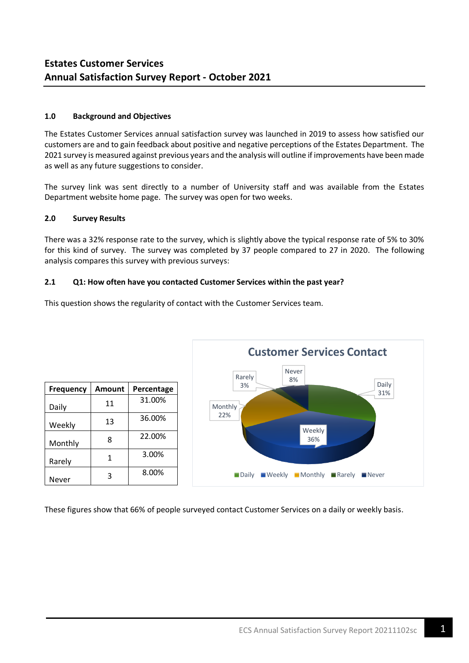# **1.0 Background and Objectives**

Daily  $\begin{vmatrix} 11 & 31.00\% \end{vmatrix}$ 

Weekly | 13 | 36.00%

22.00%

3.00%

8.00%

Monthly | 8

Rarely 1

Never 3

The Estates Customer Services annual satisfaction survey was launched in 2019 to assess how satisfied our customers are and to gain feedback about positive and negative perceptions of the Estates Department. The 2021 survey is measured against previous years and the analysis will outline if improvements have been made as well as any future suggestions to consider.

The survey link was sent directly to a number of University staff and was available from the Estates Department website home page. The survey was open for two weeks.

## **2.0 Survey Results**

There was a 32% response rate to the survey, which is slightly above the typical response rate of 5% to 30% for this kind of survey. The survey was completed by 37 people compared to 27 in 2020. The following analysis compares this survey with previous surveys:

## **2.1 Q1: How often have you contacted Customer Services within the past year?**



This question shows the regularity of contact with the Customer Services team.

These figures show that 66% of people surveyed contact Customer Services on a daily or weekly basis.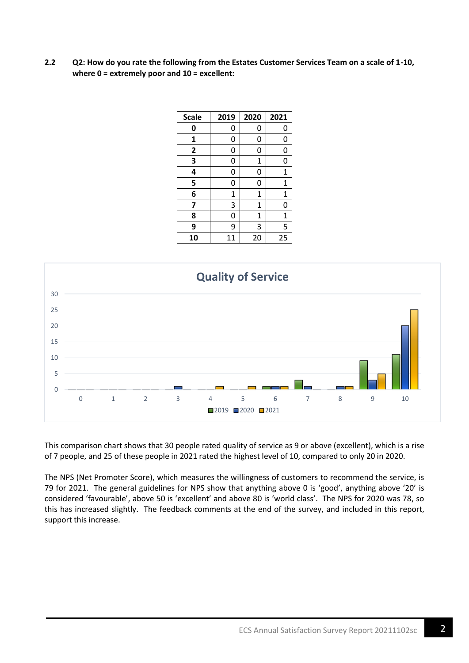**2.2 Q2: How do you rate the following from the Estates Customer Services Team on a scale of 1-10, where 0 = extremely poor and 10 = excellent:**

| <b>Scale</b> | 2019 | 2020         | 2021        |
|--------------|------|--------------|-------------|
| 0            | 0    | 0            | 0           |
| 1            | 0    | 0            | 0           |
| $\mathbf{2}$ | 0    | 0            | 0           |
| 3            | 0    | $\mathbf{1}$ | 0           |
| 4            | 0    | 0            | $\mathbf 1$ |
| 5            | 0    | 0            | 1           |
| 6            | 1    | 1            | 1           |
| 7            | 3    | 1            | 0           |
| 8            | 0    | 1            | 1           |
| 9            | 9    | 3            | 5           |
| 10           | 11   | 20           | 25          |



This comparison chart shows that 30 people rated quality of service as 9 or above (excellent), which is a rise of 7 people, and 25 of these people in 2021 rated the highest level of 10, compared to only 20 in 2020.

The NPS (Net Promoter Score), which measures the willingness of customers to recommend the service, is for 2021. The general guidelines for NPS show that anything above 0 is 'good', anything above '20' is considered 'favourable', above 50 is 'excellent' and above 80 is 'world class'. The NPS for 2020 was 78, so this has increased slightly. The feedback comments at the end of the survey, and included in this report, support this increase.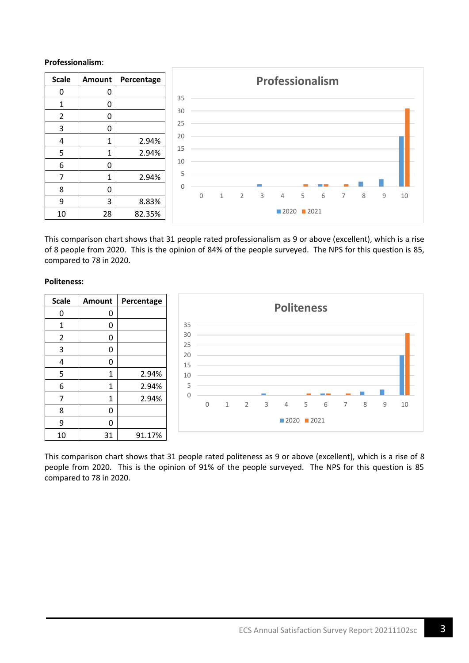# **Professionalism**:



This comparison chart shows that 31 people rated professionalism as 9 or above (excellent), which is a rise of 8 people from 2020. This is the opinion of 84% of the people surveyed. The NPS for this question is 85, compared to 78 in 2020.

## **Politeness:**



This comparison chart shows that 31 people rated politeness as 9 or above (excellent), which is a rise of 8 people from 2020. This is the opinion of 91% of the people surveyed. The NPS for this question is 85 compared to 78 in 2020.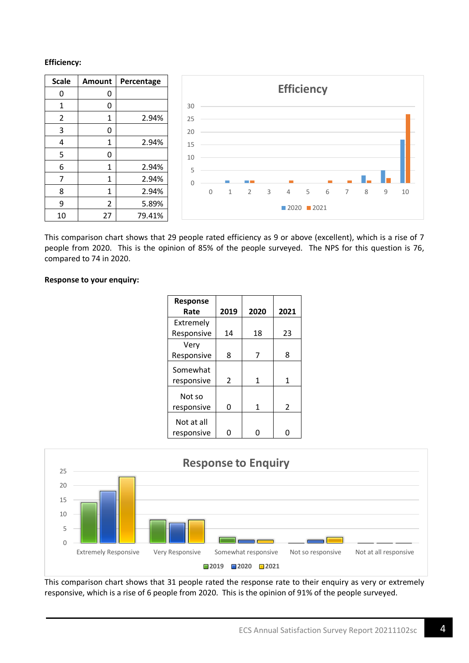# **Efficiency:**



This comparison chart shows that 29 people rated efficiency as 9 or above (excellent), which is a rise of 7 people from 2020. This is the opinion of 85% of the people surveyed. The NPS for this question is 76, compared to 74 in 2020.

## **Response to your enquiry:**

| <b>Response</b>          |                |      |               |
|--------------------------|----------------|------|---------------|
| Rate                     | 2019           | 2020 | 2021          |
| Extremely                |                |      |               |
| Responsive               | 14             | 18   | 23            |
| Very                     |                |      |               |
| Responsive               | 8              | 7    | 8             |
| Somewhat                 |                |      |               |
| responsive               | $\mathfrak{p}$ | 1    | 1             |
| Not so<br>responsive     | ი              | 1    | $\mathcal{P}$ |
| Not at all<br>responsive |                |      |               |



This comparison chart shows that 31 people rated the response rate to their enquiry as very or extremely responsive, which is a rise of 6 people from 2020. This is the opinion of 91% of the people surveyed.